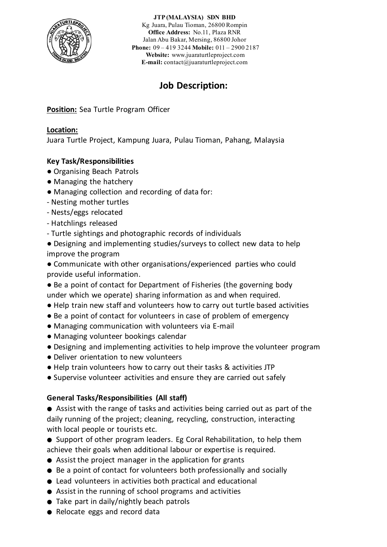

**JTP (MALAYSIA) SDN BHD**

Kg Juara, Pulau Tioman, 26800 Rompin **Office Address:** No.11, Plaza RNR Jalan Abu Bakar, Mersing, 86800 Johor **Phone:** 09 – 419 3244 **Mobile:** 011 – 2900 2187 **Website:** [www.juaraturtleproject.com](http://www.juaraturtleproject.com/) **E-mail:** [contact@juaraturtleproject.com](mailto:contact@juaraturtleproject.com)

# **Job Description:**

**Position:** Sea Turtle Program Officer

## **Location:**

Juara Turtle Project, Kampung Juara, Pulau Tioman, Pahang, Malaysia

# **Key Task/Responsibilities**

- Organising Beach Patrols
- Managing the hatchery
- Managing collection and recording of data for:
- Nesting mother turtles
- Nests/eggs relocated
- Hatchlings released
- Turtle sightings and photographic records of individuals
- Designing and implementing studies/surveys to collect new data to help improve the program
- Communicate with other organisations/experienced parties who could provide useful information.
- Be a point of contact for Department of Fisheries (the governing body under which we operate) sharing information as and when required.
- Help train new staff and volunteers how to carry out turtle based activities
- Be a point of contact for volunteers in case of problem of emergency
- Managing communication with volunteers via E-mail
- Managing volunteer bookings calendar
- Designing and implementing activities to help improve the volunteer program
- Deliver orientation to new volunteers
- Help train volunteers how to carry out their tasks & activities JTP
- Supervise volunteer activities and ensure they are carried out safely

# **General Tasks/Responsibilities (All staff)**

- Assist with the range of tasks and activities being carried out as part of the daily running of the project; cleaning, recycling, construction, interacting with local people or tourists etc.
- Support of other program leaders. Eg Coral Rehabilitation, to help them achieve their goals when additional labour or expertise is required.
- Assist the project manager in the application for grants
- Be a point of contact for volunteers both professionally and socially
- Lead volunteers in activities both practical and educational
- Assist in the running of school programs and activities
- Take part in daily/nightly beach patrols
- Relocate eggs and record data